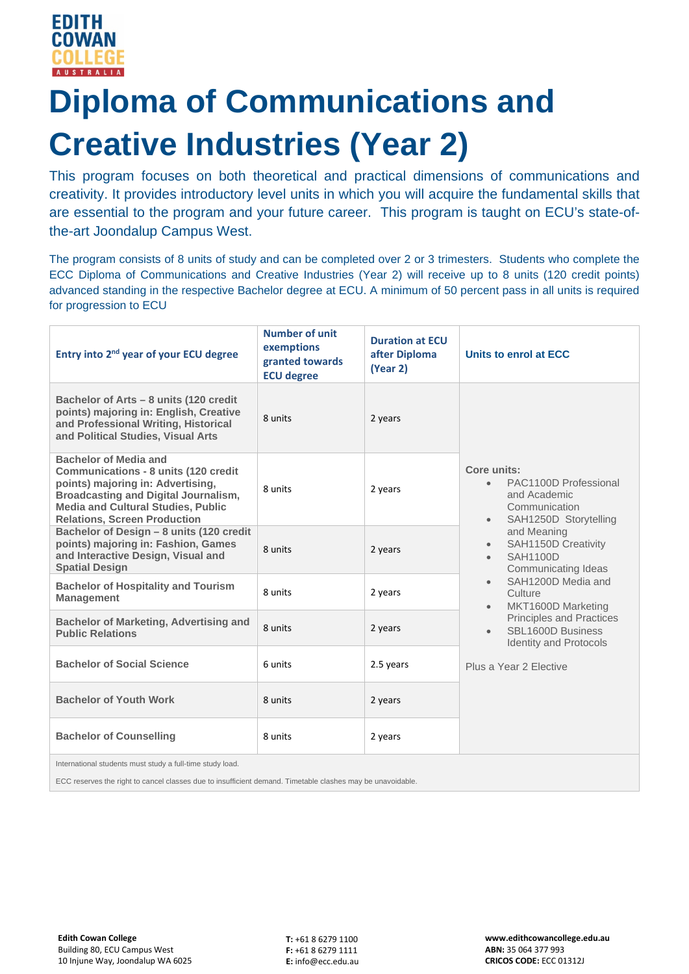# **Diploma of Communications and Creative Industries (Year 2)**

This program focuses on both theoretical and practical dimensions of communications and creativity. It provides introductory level units in which you will acquire the fundamental skills that are essential to the program and your future career. This program is taught on ECU's state-ofthe-art Joondalup Campus West.

The program consists of 8 units of study and can be completed over 2 or 3 trimesters. Students who complete the ECC Diploma of Communications and Creative Industries (Year 2) will receive up to 8 units (120 credit points) advanced standing in the respective Bachelor degree at ECU. A minimum of 50 percent pass in all units is required for progression to ECU

| Entry into 2 <sup>nd</sup> year of your ECU degree                                                                                                                                                                                                  | <b>Number of unit</b><br>exemptions<br>granted towards<br><b>ECU degree</b> | <b>Duration at ECU</b><br>after Diploma<br>(Year 2) | Units to enrol at ECC                                                                                                                                                                                                                                                                                                                                                                    |
|-----------------------------------------------------------------------------------------------------------------------------------------------------------------------------------------------------------------------------------------------------|-----------------------------------------------------------------------------|-----------------------------------------------------|------------------------------------------------------------------------------------------------------------------------------------------------------------------------------------------------------------------------------------------------------------------------------------------------------------------------------------------------------------------------------------------|
| Bachelor of Arts - 8 units (120 credit<br>points) majoring in: English, Creative<br>and Professional Writing, Historical<br>and Political Studies, Visual Arts                                                                                      | 8 units                                                                     | 2 years                                             | Core units:<br>PAC1100D Professional<br>and Academic<br>Communication<br>SAH1250D Storytelling<br>$\bullet$<br>and Meaning<br>SAH1150D Creativity<br><b>SAH1100D</b><br>Communicating Ideas<br>SAH1200D Media and<br>$\bullet$<br>Culture<br>MKT1600D Marketing<br>Principles and Practices<br>SBL1600D Business<br>$\bullet$<br><b>Identity and Protocols</b><br>Plus a Year 2 Elective |
| <b>Bachelor of Media and</b><br><b>Communications - 8 units (120 credit</b><br>points) majoring in: Advertising,<br><b>Broadcasting and Digital Journalism,</b><br><b>Media and Cultural Studies, Public</b><br><b>Relations, Screen Production</b> | 8 units                                                                     | 2 years                                             |                                                                                                                                                                                                                                                                                                                                                                                          |
| Bachelor of Design - 8 units (120 credit<br>points) majoring in: Fashion, Games<br>and Interactive Design, Visual and<br><b>Spatial Design</b>                                                                                                      | 8 units                                                                     | 2 years                                             |                                                                                                                                                                                                                                                                                                                                                                                          |
| <b>Bachelor of Hospitality and Tourism</b><br><b>Management</b>                                                                                                                                                                                     | 8 units                                                                     | 2 years                                             |                                                                                                                                                                                                                                                                                                                                                                                          |
| <b>Bachelor of Marketing, Advertising and</b><br><b>Public Relations</b>                                                                                                                                                                            | 8 units                                                                     | 2 years                                             |                                                                                                                                                                                                                                                                                                                                                                                          |
| <b>Bachelor of Social Science</b>                                                                                                                                                                                                                   | 6 units                                                                     | 2.5 years                                           |                                                                                                                                                                                                                                                                                                                                                                                          |
| <b>Bachelor of Youth Work</b>                                                                                                                                                                                                                       | 8 units                                                                     | 2 years                                             |                                                                                                                                                                                                                                                                                                                                                                                          |
| <b>Bachelor of Counselling</b>                                                                                                                                                                                                                      | 8 units                                                                     | 2 years                                             |                                                                                                                                                                                                                                                                                                                                                                                          |
| International students must study a full-time study load.                                                                                                                                                                                           |                                                                             |                                                     |                                                                                                                                                                                                                                                                                                                                                                                          |

ECC reserves the right to cancel classes due to insufficient demand. Timetable clashes may be unavoidable.